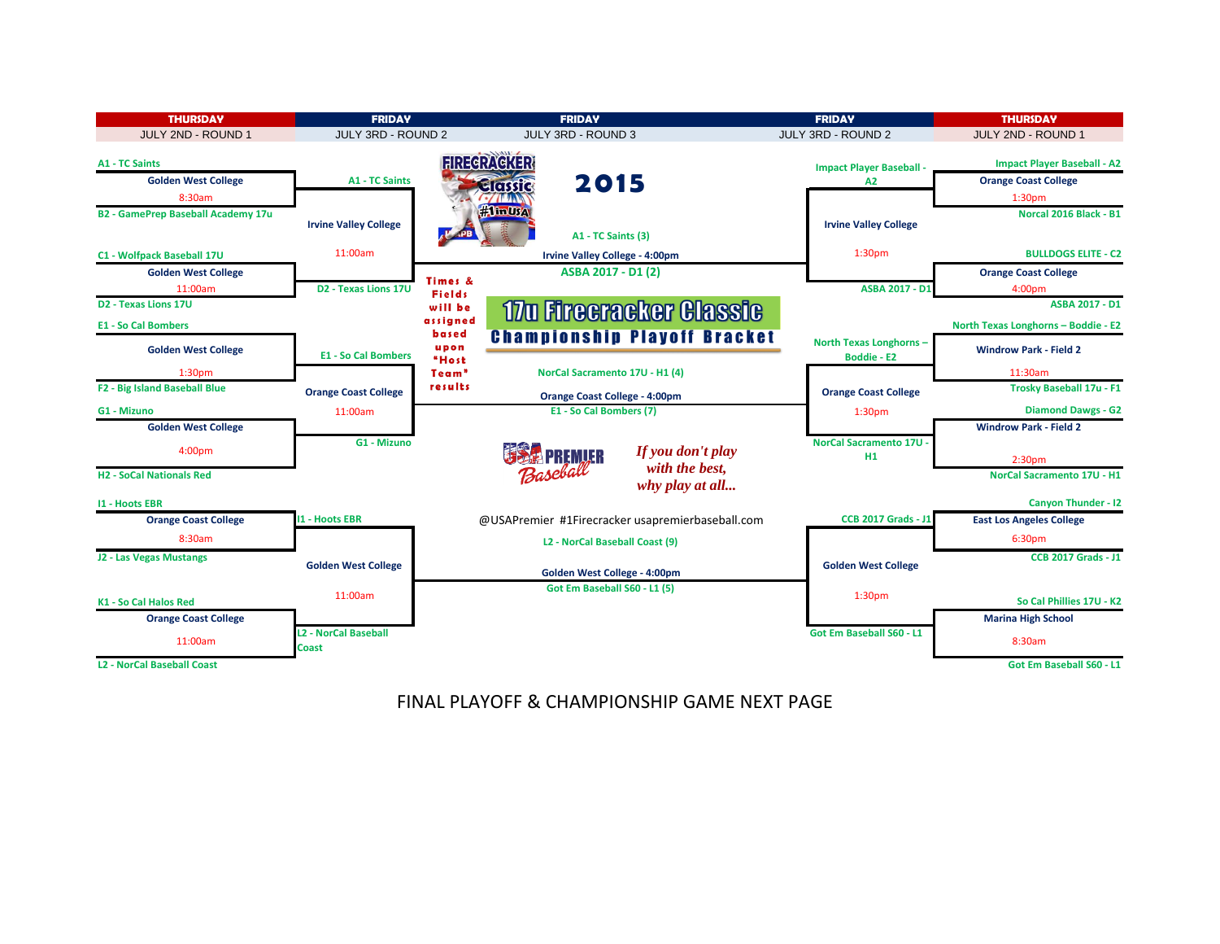

# FINAL PLAYOFF & CHAMPIONSHIP GAME NEXT PAGE